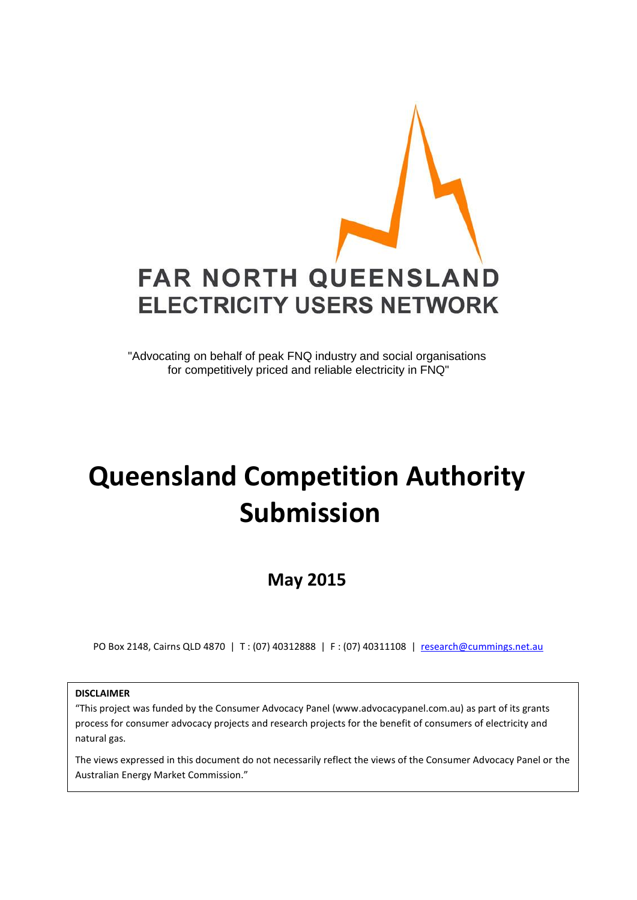

"Advocating on behalf of peak FNQ industry and social organisations for competitively priced and reliable electricity in FNQ"

# **Queensland Competition Authority Submission**

# **May 2015**

PO Box 2148, Cairns QLD 4870 | T : (07) 40312888 | F : (07) 40311108 | [research@cummings.net.au](mailto:research@cummings.net.au)

**DISCLAIMER**

"This project was funded by the Consumer Advocacy Panel (www.advocacypanel.com.au) as part of its grants process for consumer advocacy projects and research projects for the benefit of consumers of electricity and natural gas.

The views expressed in this document do not necessarily reflect the views of the Consumer Advocacy Panel or the Australian Energy Market Commission."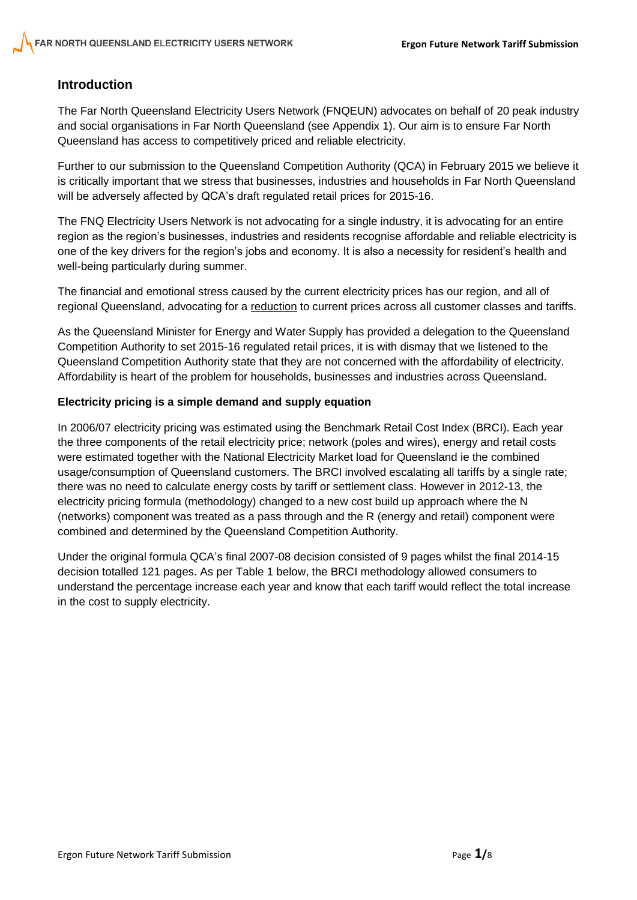# **Introduction**

The Far North Queensland Electricity Users Network (FNQEUN) advocates on behalf of 20 peak industry and social organisations in Far North Queensland (see Appendix 1). Our aim is to ensure Far North Queensland has access to competitively priced and reliable electricity.

Further to our submission to the Queensland Competition Authority (QCA) in February 2015 we believe it is critically important that we stress that businesses, industries and households in Far North Queensland will be adversely affected by QCA's draft regulated retail prices for 2015-16.

The FNQ Electricity Users Network is not advocating for a single industry, it is advocating for an entire region as the region's businesses, industries and residents recognise affordable and reliable electricity is one of the key drivers for the region's jobs and economy. It is also a necessity for resident's health and well-being particularly during summer.

The financial and emotional stress caused by the current electricity prices has our region, and all of regional Queensland, advocating for a reduction to current prices across all customer classes and tariffs.

As the Queensland Minister for Energy and Water Supply has provided a delegation to the Queensland Competition Authority to set 2015-16 regulated retail prices, it is with dismay that we listened to the Queensland Competition Authority state that they are not concerned with the affordability of electricity. Affordability is heart of the problem for households, businesses and industries across Queensland.

### **Electricity pricing is a simple demand and supply equation**

In 2006/07 electricity pricing was estimated using the Benchmark Retail Cost Index (BRCI). Each year the three components of the retail electricity price; network (poles and wires), energy and retail costs were estimated together with the National Electricity Market load for Queensland ie the combined usage/consumption of Queensland customers. The BRCI involved escalating all tariffs by a single rate; there was no need to calculate energy costs by tariff or settlement class. However in 2012-13, the electricity pricing formula (methodology) changed to a new cost build up approach where the N (networks) component was treated as a pass through and the R (energy and retail) component were combined and determined by the Queensland Competition Authority.

Under the original formula QCA's final 2007-08 decision consisted of 9 pages whilst the final 2014-15 decision totalled 121 pages. As per Table 1 below, the BRCI methodology allowed consumers to understand the percentage increase each year and know that each tariff would reflect the total increase in the cost to supply electricity.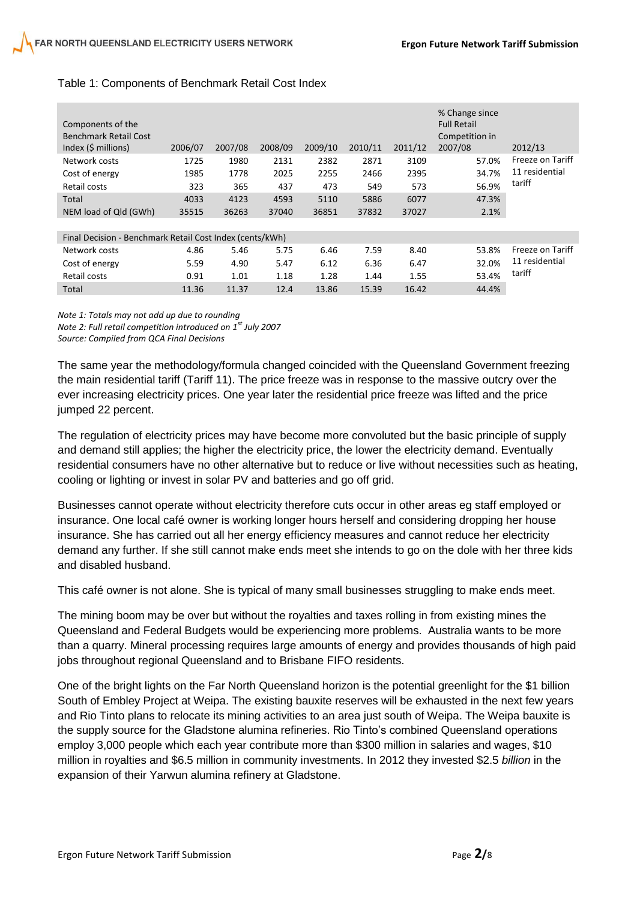| Components of the<br><b>Benchmark Retail Cost</b><br>Index $(5 \text{ millions})$ | 2006/07 | 2007/08 | 2008/09 | 2009/10 | 2010/11 | 2011/12 | % Change since<br><b>Full Retail</b><br>Competition in<br>2007/08 | 2012/13                                      |
|-----------------------------------------------------------------------------------|---------|---------|---------|---------|---------|---------|-------------------------------------------------------------------|----------------------------------------------|
| Network costs                                                                     | 1725    | 1980    | 2131    | 2382    | 2871    | 3109    | 57.0%                                                             | Freeze on Tariff<br>11 residential<br>tariff |
| Cost of energy                                                                    | 1985    | 1778    | 2025    | 2255    | 2466    | 2395    | 34.7%                                                             |                                              |
| Retail costs                                                                      | 323     | 365     | 437     | 473     | 549     | 573     | 56.9%                                                             |                                              |
| Total                                                                             | 4033    | 4123    | 4593    | 5110    | 5886    | 6077    | 47.3%                                                             |                                              |
| NEM load of Qld (GWh)                                                             | 35515   | 36263   | 37040   | 36851   | 37832   | 37027   | 2.1%                                                              |                                              |
|                                                                                   |         |         |         |         |         |         |                                                                   |                                              |
| Final Decision - Benchmark Retail Cost Index (cents/kWh)                          |         |         |         |         |         |         |                                                                   |                                              |
| Network costs                                                                     | 4.86    | 5.46    | 5.75    | 6.46    | 7.59    | 8.40    | 53.8%                                                             | Freeze on Tariff                             |
| Cost of energy                                                                    | 5.59    | 4.90    | 5.47    | 6.12    | 6.36    | 6.47    | 32.0%                                                             | 11 residential                               |
| Retail costs                                                                      | 0.91    | 1.01    | 1.18    | 1.28    | 1.44    | 1.55    | 53.4%                                                             | tariff                                       |
| Total                                                                             | 11.36   | 11.37   | 12.4    | 13.86   | 15.39   | 16.42   | 44.4%                                                             |                                              |

# Table 1: Components of Benchmark Retail Cost Index

*Note 1: Totals may not add up due to rounding Note 2: Full retail competition introduced on 1st July 2007 Source: Compiled from QCA Final Decisions*

The same year the methodology/formula changed coincided with the Queensland Government freezing the main residential tariff (Tariff 11). The price freeze was in response to the massive outcry over the ever increasing electricity prices. One year later the residential price freeze was lifted and the price jumped 22 percent.

The regulation of electricity prices may have become more convoluted but the basic principle of supply and demand still applies; the higher the electricity price, the lower the electricity demand. Eventually residential consumers have no other alternative but to reduce or live without necessities such as heating, cooling or lighting or invest in solar PV and batteries and go off grid.

Businesses cannot operate without electricity therefore cuts occur in other areas eg staff employed or insurance. One local café owner is working longer hours herself and considering dropping her house insurance. She has carried out all her energy efficiency measures and cannot reduce her electricity demand any further. If she still cannot make ends meet she intends to go on the dole with her three kids and disabled husband.

This café owner is not alone. She is typical of many small businesses struggling to make ends meet.

The mining boom may be over but without the royalties and taxes rolling in from existing mines the Queensland and Federal Budgets would be experiencing more problems. Australia wants to be more than a quarry. Mineral processing requires large amounts of energy and provides thousands of high paid jobs throughout regional Queensland and to Brisbane FIFO residents.

One of the bright lights on the Far North Queensland horizon is the potential greenlight for the \$1 billion South of Embley Project at Weipa. The existing bauxite reserves will be exhausted in the next few years and Rio Tinto plans to relocate its mining activities to an area just south of Weipa. The Weipa bauxite is the supply source for the Gladstone alumina refineries. Rio Tinto's combined Queensland operations employ 3,000 people which each year contribute more than \$300 million in salaries and wages, \$10 million in royalties and \$6.5 million in community investments. In 2012 they invested \$2.5 *billion* in the expansion of their Yarwun alumina refinery at Gladstone.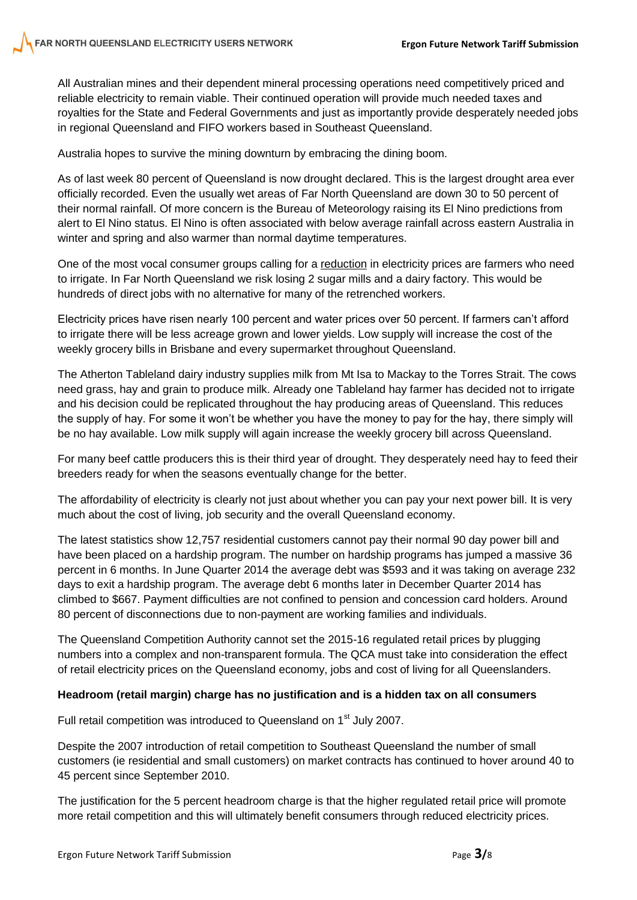All Australian mines and their dependent mineral processing operations need competitively priced and reliable electricity to remain viable. Their continued operation will provide much needed taxes and royalties for the State and Federal Governments and just as importantly provide desperately needed jobs in regional Queensland and FIFO workers based in Southeast Queensland.

Australia hopes to survive the mining downturn by embracing the dining boom.

As of last week 80 percent of Queensland is now drought declared. This is the largest drought area ever officially recorded. Even the usually wet areas of Far North Queensland are down 30 to 50 percent of their normal rainfall. Of more concern is the Bureau of Meteorology raising its El Nino predictions from alert to El Nino status. El Nino is often associated with below average rainfall across eastern Australia in winter and spring and also warmer than normal daytime temperatures.

One of the most vocal consumer groups calling for a reduction in electricity prices are farmers who need to irrigate. In Far North Queensland we risk losing 2 sugar mills and a dairy factory. This would be hundreds of direct jobs with no alternative for many of the retrenched workers.

Electricity prices have risen nearly 100 percent and water prices over 50 percent. If farmers can't afford to irrigate there will be less acreage grown and lower yields. Low supply will increase the cost of the weekly grocery bills in Brisbane and every supermarket throughout Queensland.

The Atherton Tableland dairy industry supplies milk from Mt Isa to Mackay to the Torres Strait. The cows need grass, hay and grain to produce milk. Already one Tableland hay farmer has decided not to irrigate and his decision could be replicated throughout the hay producing areas of Queensland. This reduces the supply of hay. For some it won't be whether you have the money to pay for the hay, there simply will be no hay available. Low milk supply will again increase the weekly grocery bill across Queensland.

For many beef cattle producers this is their third year of drought. They desperately need hay to feed their breeders ready for when the seasons eventually change for the better.

The affordability of electricity is clearly not just about whether you can pay your next power bill. It is very much about the cost of living, job security and the overall Queensland economy.

The latest statistics show 12,757 residential customers cannot pay their normal 90 day power bill and have been placed on a hardship program. The number on hardship programs has jumped a massive 36 percent in 6 months. In June Quarter 2014 the average debt was \$593 and it was taking on average 232 days to exit a hardship program. The average debt 6 months later in December Quarter 2014 has climbed to \$667. Payment difficulties are not confined to pension and concession card holders. Around 80 percent of disconnections due to non-payment are working families and individuals.

The Queensland Competition Authority cannot set the 2015-16 regulated retail prices by plugging numbers into a complex and non-transparent formula. The QCA must take into consideration the effect of retail electricity prices on the Queensland economy, jobs and cost of living for all Queenslanders.

#### **Headroom (retail margin) charge has no justification and is a hidden tax on all consumers**

Full retail competition was introduced to Queensland on 1<sup>st</sup> July 2007.

Despite the 2007 introduction of retail competition to Southeast Queensland the number of small customers (ie residential and small customers) on market contracts has continued to hover around 40 to 45 percent since September 2010.

The justification for the 5 percent headroom charge is that the higher regulated retail price will promote more retail competition and this will ultimately benefit consumers through reduced electricity prices.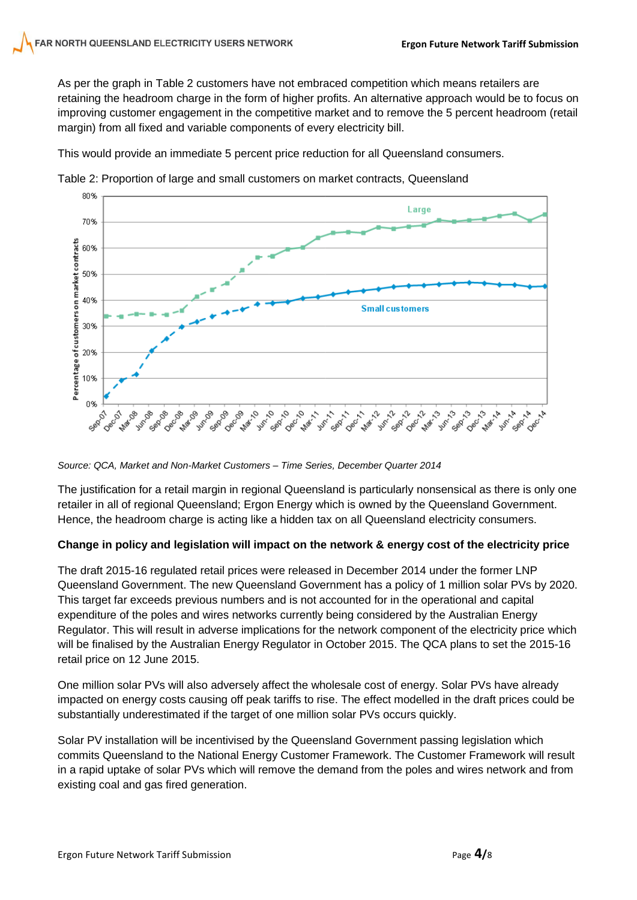As per the graph in Table 2 customers have not embraced competition which means retailers are retaining the headroom charge in the form of higher profits. An alternative approach would be to focus on improving customer engagement in the competitive market and to remove the 5 percent headroom (retail margin) from all fixed and variable components of every electricity bill.

This would provide an immediate 5 percent price reduction for all Queensland consumers.



Table 2: Proportion of large and small customers on market contracts, Queensland

#### *Source: QCA, Market and Non-Market Customers – Time Series, December Quarter 2014*

The justification for a retail margin in regional Queensland is particularly nonsensical as there is only one retailer in all of regional Queensland; Ergon Energy which is owned by the Queensland Government. Hence, the headroom charge is acting like a hidden tax on all Queensland electricity consumers.

# **Change in policy and legislation will impact on the network & energy cost of the electricity price**

The draft 2015-16 regulated retail prices were released in December 2014 under the former LNP Queensland Government. The new Queensland Government has a policy of 1 million solar PVs by 2020. This target far exceeds previous numbers and is not accounted for in the operational and capital expenditure of the poles and wires networks currently being considered by the Australian Energy Regulator. This will result in adverse implications for the network component of the electricity price which will be finalised by the Australian Energy Regulator in October 2015. The QCA plans to set the 2015-16 retail price on 12 June 2015.

One million solar PVs will also adversely affect the wholesale cost of energy. Solar PVs have already impacted on energy costs causing off peak tariffs to rise. The effect modelled in the draft prices could be substantially underestimated if the target of one million solar PVs occurs quickly.

Solar PV installation will be incentivised by the Queensland Government passing legislation which commits Queensland to the National Energy Customer Framework. The Customer Framework will result in a rapid uptake of solar PVs which will remove the demand from the poles and wires network and from existing coal and gas fired generation.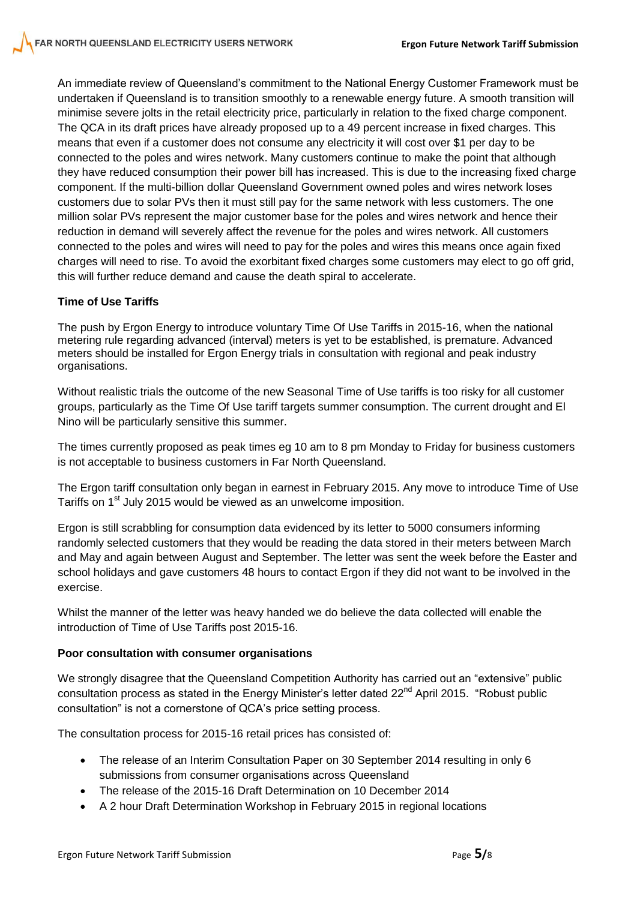An immediate review of Queensland's commitment to the National Energy Customer Framework must be undertaken if Queensland is to transition smoothly to a renewable energy future. A smooth transition will minimise severe jolts in the retail electricity price, particularly in relation to the fixed charge component. The QCA in its draft prices have already proposed up to a 49 percent increase in fixed charges. This means that even if a customer does not consume any electricity it will cost over \$1 per day to be connected to the poles and wires network. Many customers continue to make the point that although they have reduced consumption their power bill has increased. This is due to the increasing fixed charge component. If the multi-billion dollar Queensland Government owned poles and wires network loses customers due to solar PVs then it must still pay for the same network with less customers. The one million solar PVs represent the major customer base for the poles and wires network and hence their reduction in demand will severely affect the revenue for the poles and wires network. All customers connected to the poles and wires will need to pay for the poles and wires this means once again fixed charges will need to rise. To avoid the exorbitant fixed charges some customers may elect to go off grid, this will further reduce demand and cause the death spiral to accelerate.

# **Time of Use Tariffs**

The push by Ergon Energy to introduce voluntary Time Of Use Tariffs in 2015-16, when the national metering rule regarding advanced (interval) meters is yet to be established, is premature. Advanced meters should be installed for Ergon Energy trials in consultation with regional and peak industry organisations.

Without realistic trials the outcome of the new Seasonal Time of Use tariffs is too risky for all customer groups, particularly as the Time Of Use tariff targets summer consumption. The current drought and El Nino will be particularly sensitive this summer.

The times currently proposed as peak times eg 10 am to 8 pm Monday to Friday for business customers is not acceptable to business customers in Far North Queensland.

The Ergon tariff consultation only began in earnest in February 2015. Any move to introduce Time of Use Tariffs on 1<sup>st</sup> July 2015 would be viewed as an unwelcome imposition.

Ergon is still scrabbling for consumption data evidenced by its letter to 5000 consumers informing randomly selected customers that they would be reading the data stored in their meters between March and May and again between August and September. The letter was sent the week before the Easter and school holidays and gave customers 48 hours to contact Ergon if they did not want to be involved in the exercise.

Whilst the manner of the letter was heavy handed we do believe the data collected will enable the introduction of Time of Use Tariffs post 2015-16.

# **Poor consultation with consumer organisations**

We strongly disagree that the Queensland Competition Authority has carried out an "extensive" public consultation process as stated in the Energy Minister's letter dated 22<sup>nd</sup> April 2015. "Robust public consultation" is not a cornerstone of QCA's price setting process.

The consultation process for 2015-16 retail prices has consisted of:

- The release of an Interim Consultation Paper on 30 September 2014 resulting in only 6 submissions from consumer organisations across Queensland
- The release of the 2015-16 Draft Determination on 10 December 2014
- A 2 hour Draft Determination Workshop in February 2015 in regional locations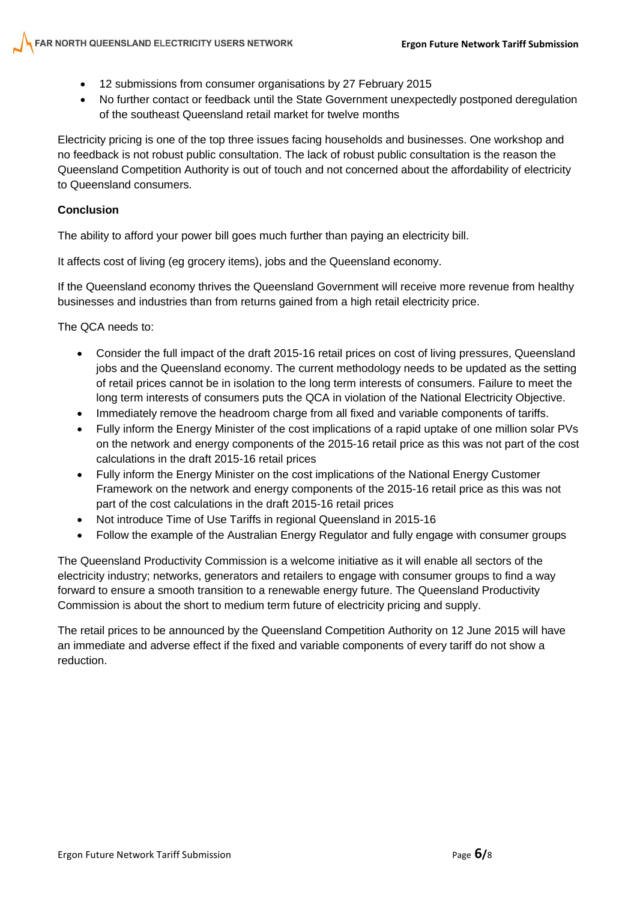- 12 submissions from consumer organisations by 27 February 2015
- No further contact or feedback until the State Government unexpectedly postponed deregulation of the southeast Queensland retail market for twelve months

Electricity pricing is one of the top three issues facing households and businesses. One workshop and no feedback is not robust public consultation. The lack of robust public consultation is the reason the Queensland Competition Authority is out of touch and not concerned about the affordability of electricity to Queensland consumers.

# **Conclusion**

The ability to afford your power bill goes much further than paying an electricity bill.

It affects cost of living (eg grocery items), jobs and the Queensland economy.

If the Queensland economy thrives the Queensland Government will receive more revenue from healthy businesses and industries than from returns gained from a high retail electricity price.

The QCA needs to:

- Consider the full impact of the draft 2015-16 retail prices on cost of living pressures, Queensland jobs and the Queensland economy. The current methodology needs to be updated as the setting of retail prices cannot be in isolation to the long term interests of consumers. Failure to meet the long term interests of consumers puts the QCA in violation of the National Electricity Objective.
- Immediately remove the headroom charge from all fixed and variable components of tariffs.
- Fully inform the Energy Minister of the cost implications of a rapid uptake of one million solar PVs on the network and energy components of the 2015-16 retail price as this was not part of the cost calculations in the draft 2015-16 retail prices
- Fully inform the Energy Minister on the cost implications of the National Energy Customer Framework on the network and energy components of the 2015-16 retail price as this was not part of the cost calculations in the draft 2015-16 retail prices
- Not introduce Time of Use Tariffs in regional Queensland in 2015-16
- Follow the example of the Australian Energy Regulator and fully engage with consumer groups

The Queensland Productivity Commission is a welcome initiative as it will enable all sectors of the electricity industry; networks, generators and retailers to engage with consumer groups to find a way forward to ensure a smooth transition to a renewable energy future. The Queensland Productivity Commission is about the short to medium term future of electricity pricing and supply.

The retail prices to be announced by the Queensland Competition Authority on 12 June 2015 will have an immediate and adverse effect if the fixed and variable components of every tariff do not show a reduction.